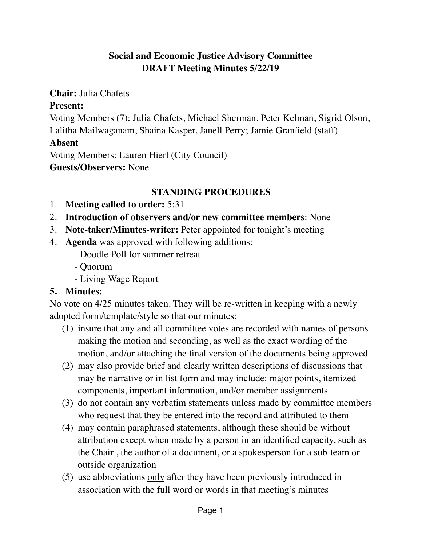## **Social and Economic Justice Advisory Committee DRAFT Meeting Minutes 5/22/19**

**Chair:** Julia Chafets

### **Present:**

Voting Members (7): Julia Chafets, Michael Sherman, Peter Kelman, Sigrid Olson, Lalitha Mailwaganam, Shaina Kasper, Janell Perry; Jamie Granfield (staff)

### **Absent**

Voting Members: Lauren Hierl (City Council) **Guests/Observers:** None

## **STANDING PROCEDURES**

- 1. **Meeting called to order:** 5:31
- 2. **Introduction of observers and/or new committee members**: None
- 3. **Note-taker/Minutes-writer:** Peter appointed for tonight's meeting
- 4. **Agenda** was approved with following additions:
	- Doodle Poll for summer retreat
	- Quorum
	- Living Wage Report

## **5. Minutes:**

No vote on 4/25 minutes taken. They will be re-written in keeping with a newly adopted form/template/style so that our minutes:

- (1) insure that any and all committee votes are recorded with names of persons making the motion and seconding, as well as the exact wording of the motion, and/or attaching the final version of the documents being approved
- (2) may also provide brief and clearly written descriptions of discussions that may be narrative or in list form and may include: major points, itemized components, important information, and/or member assignments
- (3) do <u>not</u> contain any verbatim statements unless made by committee members who request that they be entered into the record and attributed to them
- (4) may contain paraphrased statements, although these should be without attribution except when made by a person in an identified capacity, such as the Chair , the author of a document, or a spokesperson for a sub-team or outside organization
- (5) use abbreviations only after they have been previously introduced in association with the full word or words in that meeting's minutes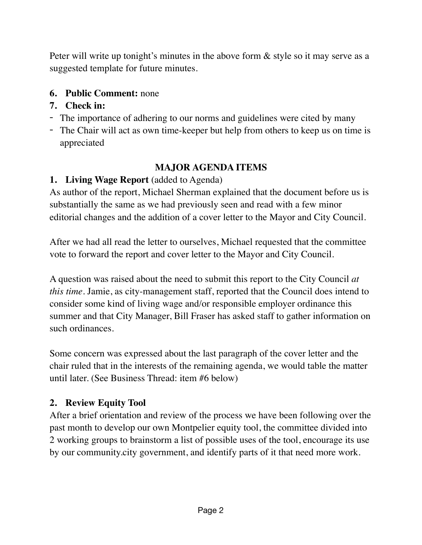Peter will write up tonight's minutes in the above form & style so it may serve as a suggested template for future minutes.

## **6. Public Comment:** none

## **7. Check in:**

- The importance of adhering to our norms and guidelines were cited by many
- The Chair will act as own time-keeper but help from others to keep us on time is appreciated

# **MAJOR AGENDA ITEMS**

## **1. Living Wage Report** (added to Agenda)

As author of the report, Michael Sherman explained that the document before us is substantially the same as we had previously seen and read with a few minor editorial changes and the addition of a cover letter to the Mayor and City Council.

After we had all read the letter to ourselves, Michael requested that the committee vote to forward the report and cover letter to the Mayor and City Council.

A question was raised about the need to submit this report to the City Council *at this time*. Jamie, as city-management staff, reported that the Council does intend to consider some kind of living wage and/or responsible employer ordinance this summer and that City Manager, Bill Fraser has asked staff to gather information on such ordinances.

Some concern was expressed about the last paragraph of the cover letter and the chair ruled that in the interests of the remaining agenda, we would table the matter until later. (See Business Thread: item #6 below)

## **2. Review Equity Tool**

After a brief orientation and review of the process we have been following over the past month to develop our own Montpelier equity tool, the committee divided into 2 working groups to brainstorm a list of possible uses of the tool, encourage its use by our community.city government, and identify parts of it that need more work.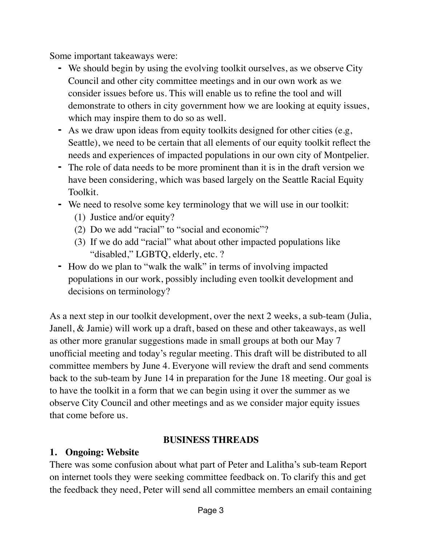Some important takeaways were:

- **-** We should begin by using the evolving toolkit ourselves, as we observe City Council and other city committee meetings and in our own work as we consider issues before us. This will enable us to refine the tool and will demonstrate to others in city government how we are looking at equity issues, which may inspire them to do so as well.
- **-** As we draw upon ideas from equity toolkits designed for other cities (e.g, Seattle), we need to be certain that all elements of our equity toolkit reflect the needs and experiences of impacted populations in our own city of Montpelier.
- **-** The role of data needs to be more prominent than it is in the draft version we have been considering, which was based largely on the Seattle Racial Equity Toolkit.
- **-** We need to resolve some key terminology that we will use in our toolkit:
	- (1) Justice and/or equity?
	- (2) Do we add "racial" to "social and economic"?
	- (3) If we do add "racial" what about other impacted populations like "disabled," LGBTQ, elderly, etc. ?
- **-** How do we plan to "walk the walk" in terms of involving impacted populations in our work, possibly including even toolkit development and decisions on terminology?

As a next step in our toolkit development, over the next 2 weeks, a sub-team (Julia, Janell, & Jamie) will work up a draft, based on these and other takeaways, as well as other more granular suggestions made in small groups at both our May 7 unofficial meeting and today's regular meeting. This draft will be distributed to all committee members by June 4. Everyone will review the draft and send comments back to the sub-team by June 14 in preparation for the June 18 meeting. Our goal is to have the toolkit in a form that we can begin using it over the summer as we observe City Council and other meetings and as we consider major equity issues that come before us.

## **BUSINESS THREADS**

### **1. Ongoing: Website**

There was some confusion about what part of Peter and Lalitha's sub-team Report on internet tools they were seeking committee feedback on. To clarify this and get the feedback they need, Peter will send all committee members an email containing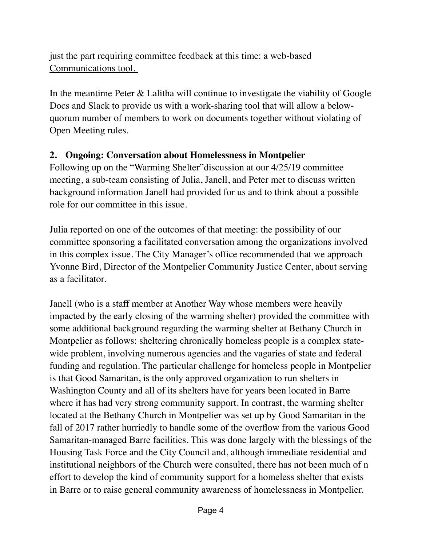just the part requiring committee feedback at this time: <u>a web-based</u> Communications tool.

In the meantime Peter & Lalitha will continue to investigate the viability of Google Docs and Slack to provide us with a work-sharing tool that will allow a belowquorum number of members to work on documents together without violating of Open Meeting rules.

### **2. Ongoing: Conversation about Homelessness in Montpelier**

Following up on the "Warming Shelter"discussion at our 4/25/19 committee meeting, a sub-team consisting of Julia, Janell, and Peter met to discuss written background information Janell had provided for us and to think about a possible role for our committee in this issue.

Julia reported on one of the outcomes of that meeting: the possibility of our committee sponsoring a facilitated conversation among the organizations involved in this complex issue. The City Manager's office recommended that we approach Yvonne Bird, Director of the Montpelier Community Justice Center, about serving as a facilitator.

Janell (who is a staff member at Another Way whose members were heavily impacted by the early closing of the warming shelter) provided the committee with some additional background regarding the warming shelter at Bethany Church in Montpelier as follows: sheltering chronically homeless people is a complex statewide problem, involving numerous agencies and the vagaries of state and federal funding and regulation. The particular challenge for homeless people in Montpelier is that Good Samaritan, is the only approved organization to run shelters in Washington County and all of its shelters have for years been located in Barre where it has had very strong community support. In contrast, the warming shelter located at the Bethany Church in Montpelier was set up by Good Samaritan in the fall of 2017 rather hurriedly to handle some of the overflow from the various Good Samaritan-managed Barre facilities. This was done largely with the blessings of the Housing Task Force and the City Council and, although immediate residential and institutional neighbors of the Church were consulted, there has not been much of n effort to develop the kind of community support for a homeless shelter that exists in Barre or to raise general community awareness of homelessness in Montpelier.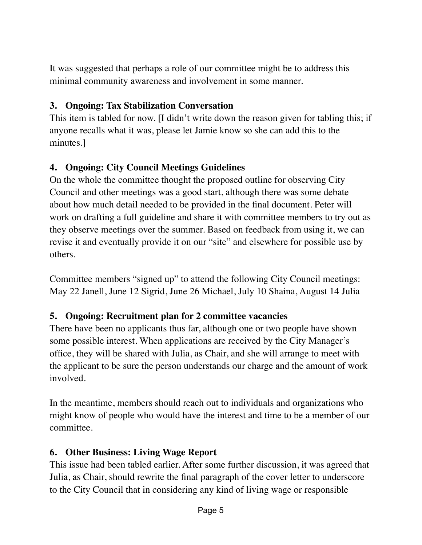It was suggested that perhaps a role of our committee might be to address this minimal community awareness and involvement in some manner.

## **3. Ongoing: Tax Stabilization Conversation**

This item is tabled for now. [I didn't write down the reason given for tabling this; if anyone recalls what it was, please let Jamie know so she can add this to the minutes.]

## **4. Ongoing: City Council Meetings Guidelines**

On the whole the committee thought the proposed outline for observing City Council and other meetings was a good start, although there was some debate about how much detail needed to be provided in the final document. Peter will work on drafting a full guideline and share it with committee members to try out as they observe meetings over the summer. Based on feedback from using it, we can revise it and eventually provide it on our "site" and elsewhere for possible use by others.

Committee members "signed up" to attend the following City Council meetings: May 22 Janell, June 12 Sigrid, June 26 Michael, July 10 Shaina, August 14 Julia

### **5. Ongoing: Recruitment plan for 2 committee vacancies**

There have been no applicants thus far, although one or two people have shown some possible interest. When applications are received by the City Manager's office, they will be shared with Julia, as Chair, and she will arrange to meet with the applicant to be sure the person understands our charge and the amount of work involved.

In the meantime, members should reach out to individuals and organizations who might know of people who would have the interest and time to be a member of our committee.

### **6. Other Business: Living Wage Report**

This issue had been tabled earlier. After some further discussion, it was agreed that Julia, as Chair, should rewrite the final paragraph of the cover letter to underscore to the City Council that in considering any kind of living wage or responsible